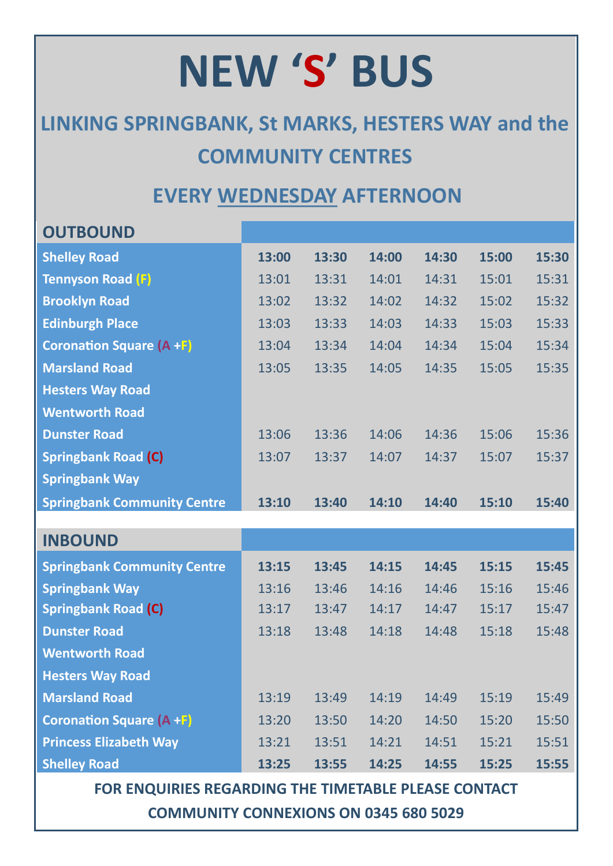## **NEW 'S' BUS**

## **LINKING SPRINGBANK, St MARKS, HESTERS WAY and the COMMUNITY CENTRES**

## **EVERY WEDNESDAY AFTERNOON**

| <b>OUTBOUND</b>                    |       |       |       |       |       |       |
|------------------------------------|-------|-------|-------|-------|-------|-------|
| <b>Shelley Road</b>                | 13:00 | 13:30 | 14:00 | 14:30 | 15:00 | 15:30 |
| <b>Tennyson Road (F)</b>           | 13:01 | 13:31 | 14:01 | 14:31 | 15:01 | 15:31 |
| <b>Brooklyn Road</b>               | 13:02 | 13:32 | 14:02 | 14:32 | 15:02 | 15:32 |
| <b>Edinburgh Place</b>             | 13:03 | 13:33 | 14:03 | 14:33 | 15:03 | 15:33 |
| <b>Coronation Square (A +F)</b>    | 13:04 | 13:34 | 14:04 | 14:34 | 15:04 | 15:34 |
| <b>Marsland Road</b>               | 13:05 | 13:35 | 14:05 | 14:35 | 15:05 | 15:35 |
| <b>Hesters Way Road</b>            |       |       |       |       |       |       |
| <b>Wentworth Road</b>              |       |       |       |       |       |       |
| <b>Dunster Road</b>                | 13:06 | 13:36 | 14:06 | 14:36 | 15:06 | 15:36 |
| <b>Springbank Road (C)</b>         | 13:07 | 13:37 | 14:07 | 14:37 | 15:07 | 15:37 |
| <b>Springbank Way</b>              |       |       |       |       |       |       |
| <b>Springbank Community Centre</b> | 13:10 | 13:40 | 14:10 | 14:40 | 15:10 | 15:40 |
|                                    |       |       |       |       |       |       |
| <b>INBOUND</b>                     |       |       |       |       |       |       |
| <b>Springbank Community Centre</b> | 13:15 | 13:45 | 14:15 | 14:45 | 15:15 | 15:45 |
| <b>Springbank Way</b>              | 13:16 | 13:46 | 14:16 | 14:46 | 15:16 | 15:46 |
| <b>Springbank Road (C)</b>         | 13:17 | 13:47 | 14:17 | 14:47 | 15:17 | 15:47 |
|                                    |       |       |       |       |       |       |
| <b>Dunster Road</b>                | 13:18 | 13:48 | 14:18 | 14:48 | 15:18 | 15:48 |
| <b>Wentworth Road</b>              |       |       |       |       |       |       |
| <b>Hesters Way Road</b>            |       |       |       |       |       |       |
| <b>Marsland Road</b>               | 13:19 | 13:49 | 14:19 | 14:49 | 15:19 | 15:49 |
| <b>Coronation Square (A +F)</b>    | 13:20 | 13:50 | 14:20 | 14:50 | 15:20 | 15:50 |
| <b>Princess Elizabeth Way</b>      | 13:21 | 13:51 | 14:21 | 14:51 | 15:21 | 15:51 |

**FOR ENQUIRIES REGARDING THE TIMETABLE PLEASE CONTACT COMMUNITY CONNEXIONS ON 0345 680 5029**